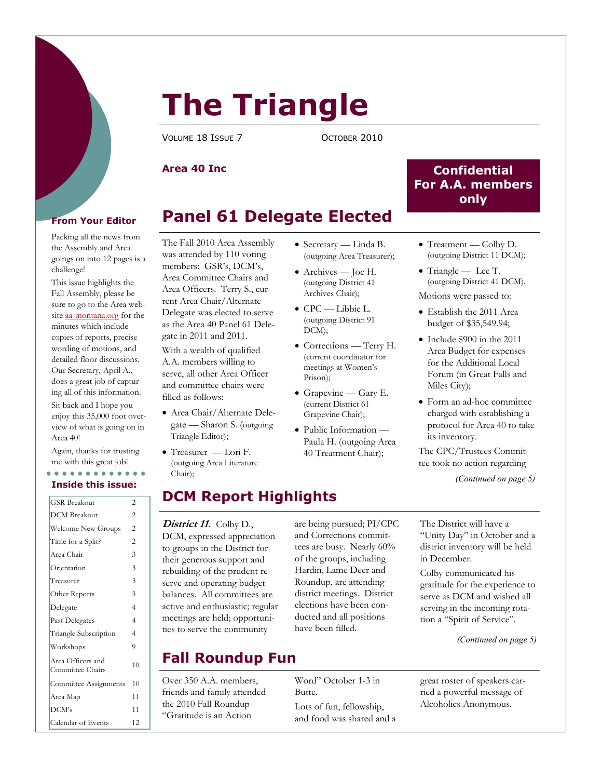

# **The Triangle**

VOLUME 18 ISSUE 7 COCTOBER 2010

### **Area 40 Inc**

## **Panel 61 Delegate Elected**

#### Packing all the news from the Assembly and Area goings on into 12 pages is a challenge!

This issue highlights the Fall Assembly, please be sure to go to the Area website aa-montana.org for the minutes which include copies of reports, precise wording of motions, and detailed floor discussions. Our Secretary, April A., does a great job of capturing all of this information.

Sit back and I hope you enjoy this 35,000 foot overview of what is going on in Area 40!

Again, thanks for trusting me with this great job!

#### **Inside this issue:**

| <b>GSR Breakout</b>                   | 2              |
|---------------------------------------|----------------|
| <b>DCM</b> Breakout                   | $\overline{2}$ |
| <b>Welcome New Groups</b>             | 2              |
| Time for a Split?                     | $\overline{c}$ |
| Area Chair                            | 3              |
| Orientation                           | 3              |
| Treasurer                             | 3              |
| Other Reports                         | 3              |
| Delegate                              | 4              |
| Past Delegates                        | $\overline{4}$ |
| Triangle Subscription                 | 4              |
| Workshops                             | 9              |
| Area Officers and<br>Committee Chairs | 10             |
| Committee Assignments                 | 10             |
| Area Map                              | 11             |
| DCM's                                 | 11             |
| Calendar of Events                    | 12             |

#### The Fall 2010 Area Assembly was attended by 110 voting members: GSR's, DCM's, Area Committee Chairs and Area Officers. Terry S., current Area Chair/Alternate Delegate was elected to serve as the Area 40 Panel 61 Delegate in 2011 and 2011.

With a wealth of qualified A.A. members willing to serve, all other Area Officer and committee chairs were filled as follows:

- Area Chair/Alternate Delegate — Sharon S. (outgoing Triangle Editor);
- Treasurer Lori F. (outgoing Area Literature Chair);

## **DCM Report Highlights**

#### District 11. Colby D., DCM, expressed appreciation to groups in the District for their generous support and rebuilding of the prudent reserve and operating budget balances. All committees are active and enthusiastic; regular meetings are held; opportuni-

ties to serve the community

#### are being pursued; PI/CPC and Corrections committees are busy. Nearly 60% of the groups, including Hardin, Lame Deer and Roundup, are attending district meetings. District elections have been conducted and all positions have been filled.

## **Fall Roundup Fun**

Over 350 A.A. members, friends and family attended the 2010 Fall Roundup "Gratitude is an Action

• Secretary — Linda B. (outgoing Area Treasurer);

- Archives Joe H. (outgoing District 41 Archives Chair);
- CPC Libbie L. (outgoing District 91 DCM);
- Corrections Terry H. (current coordinator for meetings at Women's Prison);
- Grapevine Gary E. (current District 61 Grapevine Chair);
- Public Information Paula H. (outgoing Area 40 Treatment Chair);

• Treatment — Colby D. (outgoing District 11 DCM);

**Confidential For A.A. members only** 

- Triangle Lee T. (outgoing District 41 DCM). Motions were passed to:
- Establish the 2011 Area budget of \$35,549.94;
- Include \$900 in the 2011 Area Budget for expenses for the Additional Local Forum (in Great Falls and Miles City);
- Form an ad-hoc committee charged with establishing a protocol for Area 40 to take its inventory.

The CPC/Trustees Committee took no action regarding

*(Continued on page 5)* 

The District will have a "Unity Day" in October and a district inventory will be held in December.

Colby communicated his gratitude for the experience to serve as DCM and wished all serving in the incoming rotation a "Spirit of Service".

*(Continued on page 5)* 

great roster of speakers carried a powerful message of Alcoholics Anonymous.

Word" October 1-3 in

Lots of fun, fellowship, and food was shared and a

Butte.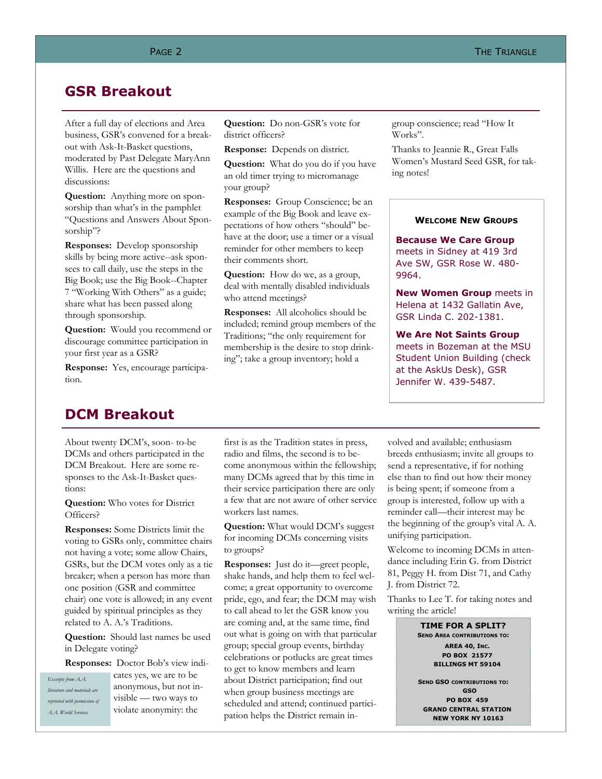## **GSR Breakout**

After a full day of elections and Area business, GSR's convened for a breakout with Ask-It-Basket questions, moderated by Past Delegate MaryAnn Willis. Here are the questions and discussions:

**Question:** Anything more on sponsorship than what's in the pamphlet "Questions and Answers About Sponsorship"?

**Responses:** Develop sponsorship skills by being more active--ask sponsees to call daily, use the steps in the Big Book; use the Big Book--Chapter 7 "Working With Others" as a guide; share what has been passed along through sponsorship.

**Question:** Would you recommend or discourage committee participation in your first year as a GSR?

**Response:** Yes, encourage participation.

**Question:** Do non-GSR's vote for district officers?

**Response:** Depends on district.

**Question:** What do you do if you have an old timer trying to micromanage your group?

**Responses:** Group Conscience; be an example of the Big Book and leave expectations of how others "should" behave at the door; use a timer or a visual reminder for other members to keep their comments short.

**Question:** How do we, as a group, deal with mentally disabled individuals who attend meetings?

**Responses:** All alcoholics should be included; remind group members of the Traditions; "the only requirement for membership is the desire to stop drinking"; take a group inventory; hold a

group conscience; read "How It Works".

Thanks to Jeannie R., Great Falls Women's Mustard Seed GSR, for taking notes!

#### **WELCOME NEW GROUPS**

**Because We Care Group**  meets in Sidney at 419 3rd Ave SW, GSR Rose W. 480- 9964.

**New Women Group** meets in Helena at 1432 Gallatin Ave, GSR Linda C. 202-1381.

**We Are Not Saints Group**  meets in Bozeman at the MSU Student Union Building (check at the AskUs Desk), GSR Jennifer W. 439-5487.

## **DCM Breakout**

About twenty DCM's, soon- to-be DCMs and others participated in the DCM Breakout. Here are some responses to the Ask-It-Basket questions:

**Question:** Who votes for District Officers?

**Responses:** Some Districts limit the voting to GSRs only, committee chairs not having a vote; some allow Chairs, GSRs, but the DCM votes only as a tie breaker; when a person has more than one position (GSR and committee chair) one vote is allowed; in any event guided by spiritual principles as they related to A. A.'s Traditions.

**Question:** Should last names be used in Delegate voting?

**Responses:** Doctor Bob's view indi-

*Excerpts from A.A. literature and materials are reprinted with permission of A.A. World Services.* 

cates yes, we are to be anonymous, but not invisible — two ways to violate anonymity: the

first is as the Tradition states in press, radio and films, the second is to become anonymous within the fellowship; many DCMs agreed that by this time in their service participation there are only a few that are not aware of other service workers last names.

**Question:** What would DCM's suggest for incoming DCMs concerning visits to groups?

**Responses:** Just do it—greet people, shake hands, and help them to feel welcome; a great opportunity to overcome pride, ego, and fear; the DCM may wish to call ahead to let the GSR know you are coming and, at the same time, find out what is going on with that particular group; special group events, birthday celebrations or potlucks are great times to get to know members and learn about District participation; find out when group business meetings are scheduled and attend; continued participation helps the District remain involved and available; enthusiasm breeds enthusiasm; invite all groups to send a representative, if for nothing else than to find out how their money is being spent; if someone from a group is interested, follow up with a reminder call—their interest may be the beginning of the group's vital A. A. unifying participation.

Welcome to incoming DCMs in attendance including Erin G. from District 81, Peggy H. from Dist 71, and Cathy J. from District 72.

Thanks to Lee T. for taking notes and writing the article!

> **TIME FOR A SPLIT? SEND AREA CONTRIBUTIONS TO: AREA 40, INC. PO BOX 21577 BILLINGS MT 59104**

**SEND GSO CONTRIBUTIONS TO: GSO PO BOX 459 GRAND CENTRAL STATION NEW YORK NY 10163**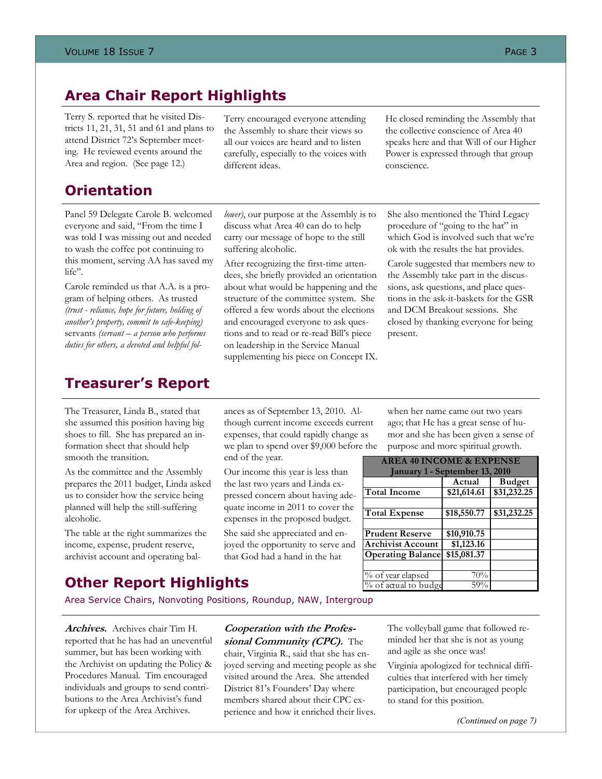## **Area Chair Report Highlights**

Terry S. reported that he visited Districts 11, 21, 31, 51 and 61 and plans to attend District 72's September meeting. He reviewed events around the Area and region. (See page 12.)

## **Orientation**

Panel 59 Delegate Carole B. welcomed everyone and said, "From the time I was told I was missing out and needed to wash the coffee pot continuing to this moment, serving AA has saved my life".

Carole reminded us that A.A. is a program of helping others. As trusted *(trust - reliance, hope for future, holding of another's property, commit to safe-keeping)* servants *(servant – a person who performs duties for others, a devoted and helpful fol-*

## **Treasurer's Report**

The Treasurer, Linda B., stated that she assumed this position having big shoes to fill. She has prepared an information sheet that should help smooth the transition.

As the committee and the Assembly prepares the 2011 budget, Linda asked us to consider how the service being planned will help the still-suffering alcoholic.

The table at the right summarizes the income, expense, prudent reserve, archivist account and operating bal-

*lower)*, our purpose at the Assembly is to discuss what Area 40 can do to help carry our message of hope to the still suffering alcoholic.

Terry encouraged everyone attending the Assembly to share their views so all our voices are heard and to listen carefully, especially to the voices with

different ideas.

After recognizing the first-time attendees, she briefly provided an orientation about what would be happening and the structure of the committee system. She offered a few words about the elections and encouraged everyone to ask questions and to read or re-read Bill's piece on leadership in the Service Manual supplementing his piece on Concept IX. He closed reminding the Assembly that the collective conscience of Area 40 speaks here and that Will of our Higher Power is expressed through that group conscience.

She also mentioned the Third Legacy procedure of "going to the hat" in which God is involved such that we're ok with the results the hat provides.

Carole suggested that members new to the Assembly take part in the discussions, ask questions, and place questions in the ask-it-baskets for the GSR and DCM Breakout sessions. She closed by thanking everyone for being present.

ances as of September 13, 2010. Although current income exceeds current expenses, that could rapidly change as we plan to spend over \$9,000 before the end of the year.

Our income this year is less than the last two years and Linda expressed concern about having adequate income in 2011 to cover the expenses in the proposed budget.

She said she appreciated and enjoyed the opportunity to serve and that God had a hand in the hat

when her name came out two years ago; that He has a great sense of humor and she has been given a sense of purpose and more spiritual growth.

| <b>AREA 40 INCOME &amp; EXPENSE</b>      |             |               |  |
|------------------------------------------|-------------|---------------|--|
| January 1 - September 13, 2010           |             |               |  |
|                                          | Actual      | <b>Budget</b> |  |
| <b>Total Income</b>                      | \$21,614.61 | \$31,232.25   |  |
|                                          |             |               |  |
| <b>Total Expense</b>                     | \$18,550.77 | \$31,232.25   |  |
|                                          |             |               |  |
| <b>Prudent Reserve</b>                   | \$10,910.75 |               |  |
| <b>Archivist Account</b>                 | \$1,123.16  |               |  |
| <b>Operating Balance</b>                 | \$15,081.37 |               |  |
|                                          |             |               |  |
| $\sqrt[9]{\frac{6}{10}}$ of year elapsed | 70%         |               |  |
| % of actual to budge                     | 59%         |               |  |

## **Other Report Highlights**

Area Service Chairs, Nonvoting Positions, Roundup, NAW, Intergroup

**Archives.** Archives chair Tim H. reported that he has had an uneventful summer, but has been working with the Archivist on updating the Policy & Procedures Manual. Tim encouraged individuals and groups to send contributions to the Area Archivist's fund for upkeep of the Area Archives.

#### **Cooperation with the Professional Community (CPC).** The

chair, Virginia R., said that she has enjoyed serving and meeting people as she visited around the Area. She attended District 81's Founders' Day where members shared about their CPC experience and how it enriched their lives.

The volleyball game that followed reminded her that she is not as young and agile as she once was!

Virginia apologized for technical difficulties that interfered with her timely participation, but encouraged people to stand for this position.

*(Continued on page 7)*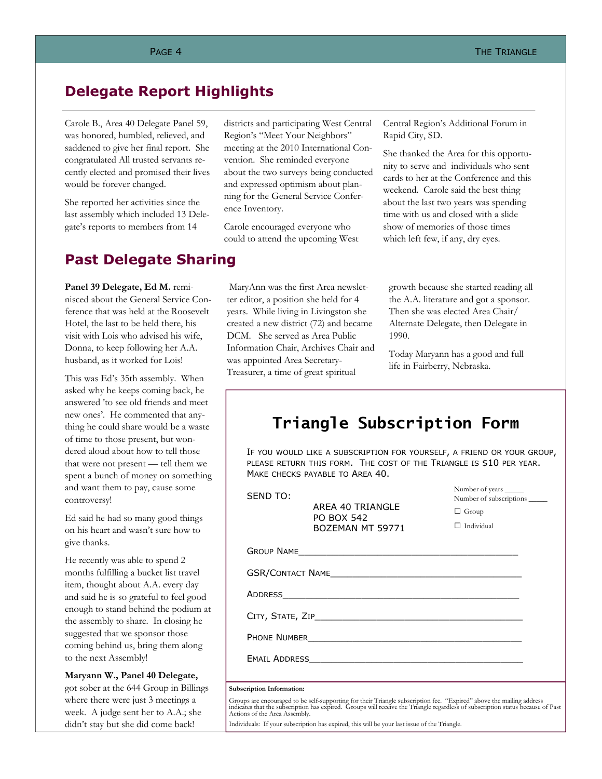## **Delegate Report Highlights**

Carole B., Area 40 Delegate Panel 59, was honored, humbled, relieved, and saddened to give her final report. She congratulated All trusted servants recently elected and promised their lives would be forever changed.

She reported her activities since the last assembly which included 13 Delegate's reports to members from 14

## **Past Delegate Sharing**

Panel 39 Delegate, Ed M. reminisced about the General Service Conference that was held at the Roosevelt Hotel, the last to be held there, his visit with Lois who advised his wife, Donna, to keep following her A.A. husband, as it worked for Lois!

This was Ed's 35th assembly. When asked why he keeps coming back, he answered 'to see old friends and meet new ones'. He commented that anything he could share would be a waste of time to those present, but wondered aloud about how to tell those that were not present — tell them we spent a bunch of money on something and want them to pay, cause some controversy!

Ed said he had so many good things on his heart and wasn't sure how to give thanks.

He recently was able to spend 2 months fulfilling a bucket list travel item, thought about A.A. every day and said he is so grateful to feel good enough to stand behind the podium at the assembly to share. In closing he suggested that we sponsor those coming behind us, bring them along to the next Assembly!

**Maryann W., Panel 40 Delegate,** 

got sober at the 644 Group in Billings where there were just 3 meetings a week. A judge sent her to A.A.; she didn't stay but she did come back!

districts and participating West Central Region's "Meet Your Neighbors" meeting at the 2010 International Convention. She reminded everyone about the two surveys being conducted and expressed optimism about planning for the General Service Conference Inventory.

Carole encouraged everyone who could to attend the upcoming West

 MaryAnn was the first Area newsletter editor, a position she held for 4 years. While living in Livingston she created a new district (72) and became DCM. She served as Area Public Information Chair, Archives Chair and was appointed Area Secretary-Treasurer, a time of great spiritual

Central Region's Additional Forum in Rapid City, SD.

She thanked the Area for this opportunity to serve and individuals who sent cards to her at the Conference and this weekend. Carole said the best thing about the last two years was spending time with us and closed with a slide show of memories of those times which left few, if any, dry eyes.

growth because she started reading all the A.A. literature and got a sponsor. Then she was elected Area Chair/ Alternate Delegate, then Delegate in 1990.

Today Maryann has a good and full life in Fairberry, Nebraska.

## **Triangle Subscription Form**

IF YOU WOULD LIKE A SUBSCRIPTION FOR YOURSELF, A FRIEND OR YOUR GROUP, PLEASE RETURN THIS FORM. THE COST OF THE TRIANGLE IS \$10 PER YEAR. MAKE CHECKS PAYABLE TO AREA 40.

> AREA 40 TRIANGLE PO BOX 542 BOZEMAN MT 59771

Number of years \_ Number of subscriptions \_

□ Group

 $\Box$  Individual

SEND TO:

GSR/CONTACT NAME

A<sub>DDRESS</sub>

CITY, STATE, ZIP\_\_\_\_\_\_\_\_\_\_\_\_\_\_\_\_\_\_\_\_\_\_\_\_\_\_\_\_\_\_\_\_\_\_\_\_\_

Phone Number

EMAIL ADDRESS\_\_\_\_\_\_\_\_\_\_\_\_\_\_\_\_\_\_\_\_\_\_\_\_\_\_\_\_\_\_\_\_\_\_\_\_\_\_

#### **Subscription Information:**

Groups are encouraged to be self-supporting for their Triangle subscription fee. "Expired" above the mailing address<br>indicates that the subscription has expired. Groups will receive the Triangle regardless of subscription

Individuals: If your subscription has expired, this will be your last issue of the Triangle.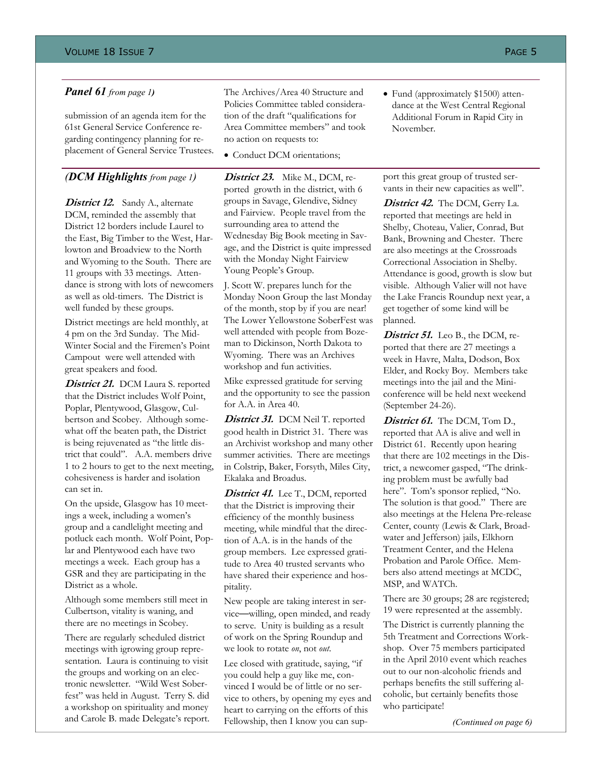submission of an agenda item for the 61st General Service Conference regarding contingency planning for replacement of General Service Trustees.

### *(DCM Highlights from page 1)*

**District 12.** Sandy A., alternate DCM, reminded the assembly that District 12 borders include Laurel to the East, Big Timber to the West, Harlowton and Broadview to the North and Wyoming to the South. There are 11 groups with 33 meetings. Attendance is strong with lots of newcomers as well as old-timers. The District is well funded by these groups.

District meetings are held monthly, at 4 pm on the 3rd Sunday. The Mid-Winter Social and the Firemen's Point Campout were well attended with great speakers and food.

District 21. DCM Laura S. reported that the District includes Wolf Point, Poplar, Plentywood, Glasgow, Culbertson and Scobey. Although somewhat off the beaten path, the District is being rejuvenated as "the little district that could". A.A. members drive 1 to 2 hours to get to the next meeting, cohesiveness is harder and isolation can set in.

On the upside, Glasgow has 10 meetings a week, including a women's group and a candlelight meeting and potluck each month. Wolf Point, Poplar and Plentywood each have two meetings a week. Each group has a GSR and they are participating in the District as a whole.

Although some members still meet in Culbertson, vitality is waning, and there are no meetings in Scobey.

There are regularly scheduled district meetings with igrowing group representation. Laura is continuing to visit the groups and working on an electronic newsletter. "Wild West Soberfest" was held in August. Terry S. did a workshop on spirituality and money and Carole B. made Delegate's report.

*Panel 61 from page 1* The Archives/Area 40 Structure and Policies Committee tabled consideration of the draft "qualifications for Area Committee members" and took no action on requests to:

• Conduct DCM orientations;

**District 23.**Mike M., DCM, reported growth in the district, with 6 groups in Savage, Glendive, Sidney and Fairview. People travel from the surrounding area to attend the Wednesday Big Book meeting in Savage, and the District is quite impressed with the Monday Night Fairview Young People's Group.

J. Scott W. prepares lunch for the Monday Noon Group the last Monday of the month, stop by if you are near! The Lower Yellowstone SoberFest was well attended with people from Bozeman to Dickinson, North Dakota to Wyoming. There was an Archives workshop and fun activities.

Mike expressed gratitude for serving and the opportunity to see the passion for A.A. in Area 40.

District 31. DCM Neil T. reported good health in District 31. There was an Archivist workshop and many other summer activities. There are meetings in Colstrip, Baker, Forsyth, Miles City, Ekalaka and Broadus.

District 41. Lee T., DCM, reported that the District is improving their efficiency of the monthly business meeting, while mindful that the direction of A.A. is in the hands of the group members. Lee expressed gratitude to Area 40 trusted servants who have shared their experience and hospitality.

New people are taking interest in service—willing, open minded, and ready to serve. Unity is building as a result of work on the Spring Roundup and we look to rotate *on*, not *out*.

Lee closed with gratitude, saying, "if you could help a guy like me, convinced I would be of little or no service to others, by opening my eyes and heart to carrying on the efforts of this Fellowship, then I know you can sup• Fund (approximately \$1500) attendance at the West Central Regional Additional Forum in Rapid City in November.

port this great group of trusted servants in their new capacities as well".

**District 42.**The DCM, Gerry La. reported that meetings are held in Shelby, Choteau, Valier, Conrad, But Bank, Browning and Chester. There are also meetings at the Crossroads Correctional Association in Shelby. Attendance is good, growth is slow but visible. Although Valier will not have the Lake Francis Roundup next year, a get together of some kind will be planned.

District 51. Leo B., the DCM, reported that there are 27 meetings a week in Havre, Malta, Dodson, Box Elder, and Rocky Boy. Members take meetings into the jail and the Miniconference will be held next weekend (September 24-26).

District 61. The DCM, Tom D., reported that AA is alive and well in District 61. Recently upon hearing that there are 102 meetings in the District, a newcomer gasped, "The drinking problem must be awfully bad here". Tom's sponsor replied, "No. The solution is that good." There are also meetings at the Helena Pre-release Center, county (Lewis & Clark, Broadwater and Jefferson) jails, Elkhorn Treatment Center, and the Helena Probation and Parole Office. Members also attend meetings at MCDC, MSP, and WATCh.

There are 30 groups; 28 are registered; 19 were represented at the assembly.

The District is currently planning the 5th Treatment and Corrections Workshop. Over 75 members participated in the April 2010 event which reaches out to our non-alcoholic friends and perhaps benefits the still suffering alcoholic, but certainly benefits those who participate!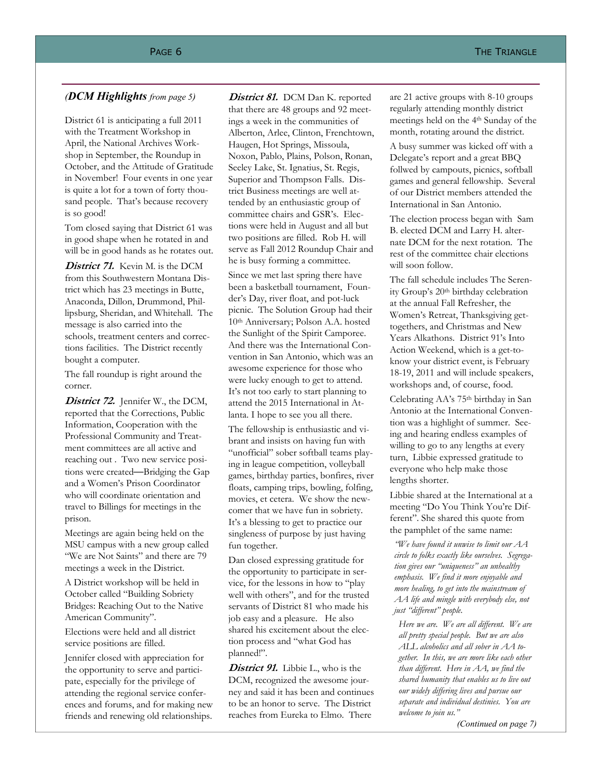District 61 is anticipating a full 2011 with the Treatment Workshop in April, the National Archives Workshop in September, the Roundup in October, and the Attitude of Gratitude in November! Four events in one year is quite a lot for a town of forty thousand people. That's because recovery is so good!

Tom closed saying that District 61 was in good shape when he rotated in and will be in good hands as he rotates out.

**District 71.** Kevin M. is the DCM from this Southwestern Montana District which has 23 meetings in Butte, Anaconda, Dillon, Drummond, Phillipsburg, Sheridan, and Whitehall. The message is also carried into the schools, treatment centers and corrections facilities. The District recently bought a computer.

The fall roundup is right around the corner.

District 72. Jennifer W., the DCM, reported that the Corrections, Public Information, Cooperation with the Professional Community and Treatment committees are all active and reaching out . Two new service positions were created—Bridging the Gap and a Women's Prison Coordinator who will coordinate orientation and travel to Billings for meetings in the prison.

Meetings are again being held on the MSU campus with a new group called "We are Not Saints" and there are 79 meetings a week in the District.

A District workshop will be held in October called "Building Sobriety Bridges: Reaching Out to the Native American Community".

Elections were held and all district service positions are filled.

Jennifer closed with appreciation for the opportunity to serve and participate, especially for the privilege of attending the regional service conferences and forums, and for making new friends and renewing old relationships.

#### *(DCM Highlights from page 5) District 81.* DCM Dan K. reported are 21 active groups with 8-10 groups District 81. DCM Dan K. reported

that there are 48 groups and 92 meetings a week in the communities of Alberton, Arlee, Clinton, Frenchtown, Haugen, Hot Springs, Missoula, Noxon, Pablo, Plains, Polson, Ronan, Seeley Lake, St. Ignatius, St. Regis, Superior and Thompson Falls. District Business meetings are well attended by an enthusiastic group of committee chairs and GSR's. Elections were held in August and all but two positions are filled. Rob H. will serve as Fall 2012 Roundup Chair and he is busy forming a committee. Since we met last spring there have been a basketball tournament, Founder's Day, river float, and pot-luck picnic. The Solution Group had their 10th Anniversary; Polson A.A. hosted the Sunlight of the Spirit Camporee. And there was the International Convention in San Antonio, which was an awesome experience for those who were lucky enough to get to attend. It's not too early to start planning to attend the 2015 International in At-

The fellowship is enthusiastic and vibrant and insists on having fun with "unofficial" sober softball teams playing in league competition, volleyball games, birthday parties, bonfires, river floats, camping trips, bowling, folfing, movies, et cetera. We show the newcomer that we have fun in sobriety. It's a blessing to get to practice our singleness of purpose by just having fun together.

lanta. I hope to see you all there.

Dan closed expressing gratitude for the opportunity to participate in service, for the lessons in how to "play well with others", and for the trusted servants of District 81 who made his job easy and a pleasure. He also shared his excitement about the election process and "what God has planned!".

**District 91.** Libbie L., who is the DCM, recognized the awesome journey and said it has been and continues to be an honor to serve. The District reaches from Eureka to Elmo. There

regularly attending monthly district meetings held on the 4th Sunday of the month, rotating around the district.

A busy summer was kicked off with a Delegate's report and a great BBQ follwed by campouts, picnics, softball games and general fellowship. Several of our District members attended the International in San Antonio.

The election process began with Sam B. elected DCM and Larry H. alternate DCM for the next rotation. The rest of the committee chair elections will soon follow.

The fall schedule includes The Serenity Group's 20<sup>th</sup> birthday celebration at the annual Fall Refresher, the Women's Retreat, Thanksgiving gettogethers, and Christmas and New Years Alkathons. District 91's Into Action Weekend, which is a get-toknow your district event, is February 18-19, 2011 and will include speakers, workshops and, of course, food.

Celebrating AA's 75th birthday in San Antonio at the International Convention was a highlight of summer. Seeing and hearing endless examples of willing to go to any lengths at every turn, Libbie expressed gratitude to everyone who help make those lengths shorter.

Libbie shared at the International at a meeting "Do You Think You're Different". She shared this quote from the pamphlet of the same name:

*"We have found it unwise to limit our AA circle to folks exactly like ourselves. Segregation gives our "uniqueness" an unhealthy emphasis. We find it more enjoyable and more healing, to get into the mainstream of AA life and mingle with everybody else, not just "different" people.* 

*Here we are. We are all different. We are all pretty special people. But we are also ALL alcoholics and all sober in AA together. In this, we are more like each other than different. Here in AA, we find the shared humanity that enables us to live out our widely differing lives and pursue our separate and individual destinies. You are welcome to join us."* 

*(Continued on page 7)*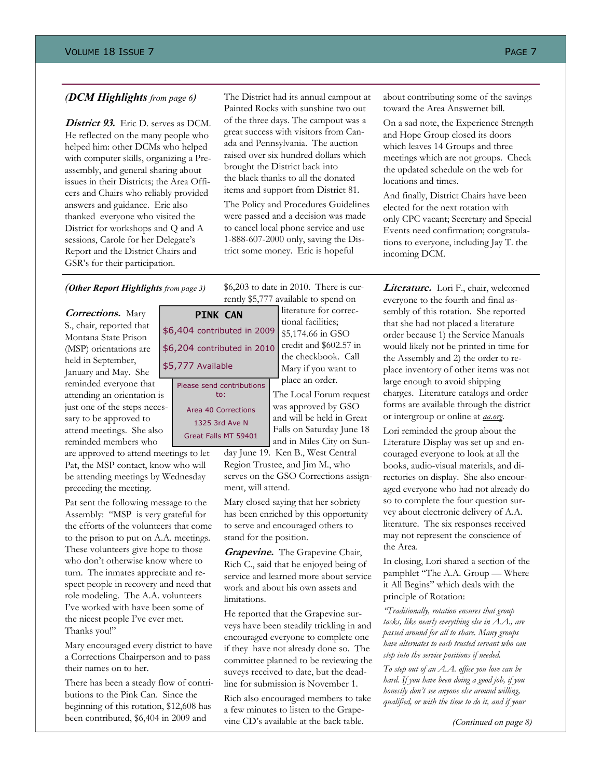**District 93.** Eric D. serves as DCM. He reflected on the many people who helped him: other DCMs who helped with computer skills, organizing a Preassembly, and general sharing about issues in their Districts; the Area Officers and Chairs who reliably provided answers and guidance. Eric also thanked everyone who visited the District for workshops and Q and A sessions, Carole for her Delegate's Report and the District Chairs and GSR's for their participation.

*(DCM Highlights from page 6)* The District had its annual campout at Painted Rocks with sunshine two out of the three days. The campout was a great success with visitors from Canada and Pennsylvania. The auction raised over six hundred dollars which brought the District back into the black thanks to all the donated items and support from District 81.

> The Policy and Procedures Guidelines were passed and a decision was made to cancel local phone service and use 1-888-607-2000 only, saving the District some money. Eric is hopeful

*(Other Report Highlights from page 3)*

**Corrections.** Mary S., chair, reported that Montana State Prison (MSP) orientations are held in September, January and May. She

reminded everyone that attending an orientation is just one of the steps necessary to be approved to attend meetings. She also reminded members who

are approved to attend meetings to let Pat, the MSP contact, know who will be attending meetings by Wednesday preceding the meeting.

Pat sent the following message to the Assembly: "MSP is very grateful for the efforts of the volunteers that come to the prison to put on A.A. meetings. These volunteers give hope to those who don't otherwise know where to turn. The inmates appreciate and respect people in recovery and need that role modeling. The A.A. volunteers I've worked with have been some of the nicest people I've ever met. Thanks you!"

Mary encouraged every district to have a Corrections Chairperson and to pass their names on to her.

There has been a steady flow of contributions to the Pink Can. Since the beginning of this rotation, \$12,608 has been contributed, \$6,404 in 2009 and

**PINK CAN**  \$6,404 contributed in 2009 \$6,204 contributed in 2010 \$5,777 Available

Please send contributions to: Area 40 Corrections 1325 3rd Ave N

Great Falls MT 59401

literature for correctional facilities; \$5,174.66 in GSO credit and \$602.57 in the checkbook. Call

> Mary if you want to place an order.

The Local Forum request was approved by GSO and will be held in Great Falls on Saturday June 18 and in Miles City on Sun-

day June 19. Ken B., West Central Region Trustee, and Jim M., who serves on the GSO Corrections assignment, will attend.

Mary closed saying that her sobriety has been enriched by this opportunity to serve and encouraged others to stand for the position.

**Grapevine.** The Grapevine Chair, Rich C., said that he enjoyed being of service and learned more about service work and about his own assets and limitations.

He reported that the Grapevine surveys have been steadily trickling in and encouraged everyone to complete one if they have not already done so. The committee planned to be reviewing the suveys received to date, but the deadline for submission is November 1.

Rich also encouraged members to take a few minutes to listen to the Grapevine CD's available at the back table.

about contributing some of the savings toward the Area Answernet bill.

On a sad note, the Experience Strength and Hope Group closed its doors which leaves 14 Groups and three meetings which are not groups. Check the updated schedule on the web for locations and times.

And finally, District Chairs have been elected for the next rotation with only CPC vacant; Secretary and Special Events need confirmation; congratulations to everyone, including Jay T. the incoming DCM.

**Literature.**Lori F., chair, welcomed everyone to the fourth and final assembly of this rotation. She reported that she had not placed a literature order because 1) the Service Manuals would likely not be printed in time for the Assembly and 2) the order to replace inventory of other items was not large enough to avoid shipping charges. Literature catalogs and order forms are available through the district or intergroup or online at *aa.org*.

Lori reminded the group about the Literature Display was set up and encouraged everyone to look at all the books, audio-visual materials, and directories on display. She also encouraged everyone who had not already do so to complete the four question survey about electronic delivery of A.A. literature. The six responses received may not represent the conscience of the Area.

In closing, Lori shared a section of the pamphlet "The A.A. Group — Where it All Begins" which deals with the principle of Rotation:

*"Traditionally, rotation ensures that group tasks, like nearly everything else in A.A., are passed around for all to share. Many groups have alternates to each trusted servant who can step into the service positions if needed.* 

*To step out of an A.A. office you love can be hard. If you have been doing a good job, if you honestly don't see anyone else around willing, qualified, or with the time to do it, and if your* 

*(Continued on page 8)* 

\$6,203 to date in 2010. There is currently \$5,777 available to spend on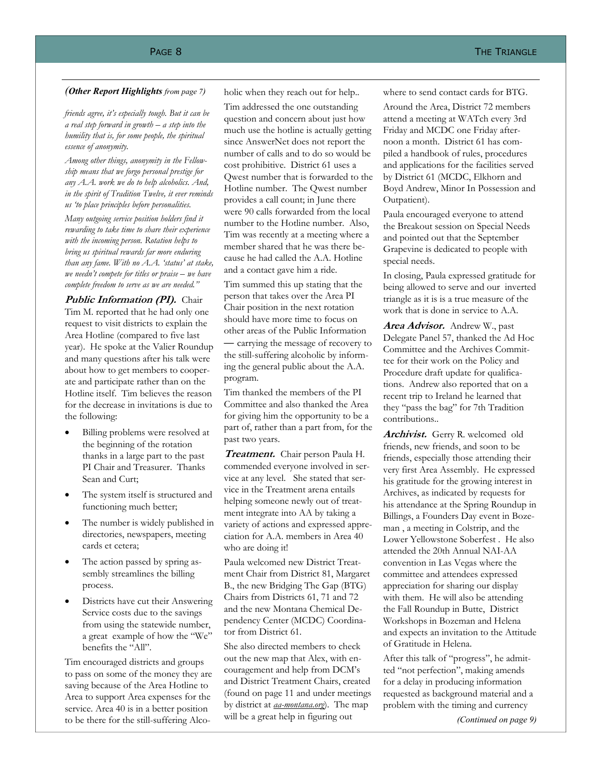### (Other Report Highlights *from page 7*) holic when they reach out for help.. where to send contact cards for BTG.

*friends agree, it's especially tough. But it can be a real step forward in growth – a step into the humility that is, for some people, the spiritual essence of anonymity.* 

*Among other things, anonymity in the Fellowship means that we forgo personal prestige for any A.A. work we do to help alcoholics. And, in the spirit of Tradition Twelve, it ever reminds us 'to place principles before personalities.* 

*Many outgoing service position holders find it rewarding to take time to share their experience with the incoming person. Rotation helps to bring us spiritual rewards far more enduring than any fame. With no A.A. 'status' at stake, we needn't compete for titles or praise – we have complete freedom to serve as we are needed."* 

*Public Information (PI).* Chair Tim M. reported that he had only one request to visit districts to explain the Area Hotline (compared to five last year). He spoke at the Valier Roundup and many questions after his talk were about how to get members to cooperate and participate rather than on the Hotline itself. Tim believes the reason for the decrease in invitations is due to the following:

- Billing problems were resolved at the beginning of the rotation thanks in a large part to the past PI Chair and Treasurer. Thanks Sean and Curt;
- The system itself is structured and functioning much better;
- The number is widely published in directories, newspapers, meeting cards et cetera;
- The action passed by spring assembly streamlines the billing process.
- Districts have cut their Answering Service costs due to the savings from using the statewide number, a great example of how the "We" benefits the "All".

Tim encouraged districts and groups to pass on some of the money they are saving because of the Area Hotline to Area to support Area expenses for the service. Area 40 is in a better position to be there for the still-suffering Alco-

Tim addressed the one outstanding question and concern about just how much use the hotline is actually getting since AnswerNet does not report the number of calls and to do so would be cost prohibitive. District 61 uses a Qwest number that is forwarded to the Hotline number. The Qwest number provides a call count; in June there were 90 calls forwarded from the local number to the Hotline number. Also, Tim was recently at a meeting where a member shared that he was there because he had called the A.A. Hotline and a contact gave him a ride.

Tim summed this up stating that the person that takes over the Area PI Chair position in the next rotation should have more time to focus on other areas of the Public Information — carrying the message of recovery to the still-suffering alcoholic by informing the general public about the A.A. program.

Tim thanked the members of the PI Committee and also thanked the Area for giving him the opportunity to be a part of, rather than a part from, for the past two years.

**Treatment.** Chair person Paula H. commended everyone involved in service at any level. She stated that service in the Treatment arena entails helping someone newly out of treatment integrate into AA by taking a variety of actions and expressed appreciation for A.A. members in Area 40 who are doing it!

Paula welcomed new District Treatment Chair from District 81, Margaret B., the new Bridging The Gap (BTG) Chairs from Districts 61, 71 and 72 and the new Montana Chemical Dependency Center (MCDC) Coordinator from District 61.

She also directed members to check out the new map that Alex, with encouragement and help from DCM's and District Treatment Chairs, created (found on page 11 and under meetings by district at *aa-montana.org*). The map will be a great help in figuring out

Around the Area, District 72 members attend a meeting at WATch every 3rd Friday and MCDC one Friday afternoon a month. District 61 has compiled a handbook of rules, procedures and applications for the facilities served by District 61 (MCDC, Elkhorn and Boyd Andrew, Minor In Possession and Outpatient).

Paula encouraged everyone to attend the Breakout session on Special Needs and pointed out that the September Grapevine is dedicated to people with special needs.

In closing, Paula expressed gratitude for being allowed to serve and our inverted triangle as it is is a true measure of the work that is done in service to A.A.

**Area Advisor.** Andrew W., past Delegate Panel 57, thanked the Ad Hoc Committee and the Archives Committee for their work on the Policy and Procedure draft update for qualifications. Andrew also reported that on a recent trip to Ireland he learned that they "pass the bag" for 7th Tradition contributions..

**Archivist.** Gerry R. welcomed old friends, new friends, and soon to be friends, especially those attending their very first Area Assembly. He expressed his gratitude for the growing interest in Archives, as indicated by requests for his attendance at the Spring Roundup in Billings, a Founders Day event in Bozeman , a meeting in Colstrip, and the Lower Yellowstone Soberfest . He also attended the 20th Annual NAI-AA convention in Las Vegas where the committee and attendees expressed appreciation for sharing our display with them. He will also be attending the Fall Roundup in Butte, District Workshops in Bozeman and Helena and expects an invitation to the Attitude of Gratitude in Helena.

After this talk of "progress", he admitted "not perfection", making amends for a delay in producing information requested as background material and a problem with the timing and currency

*(Continued on page 9)*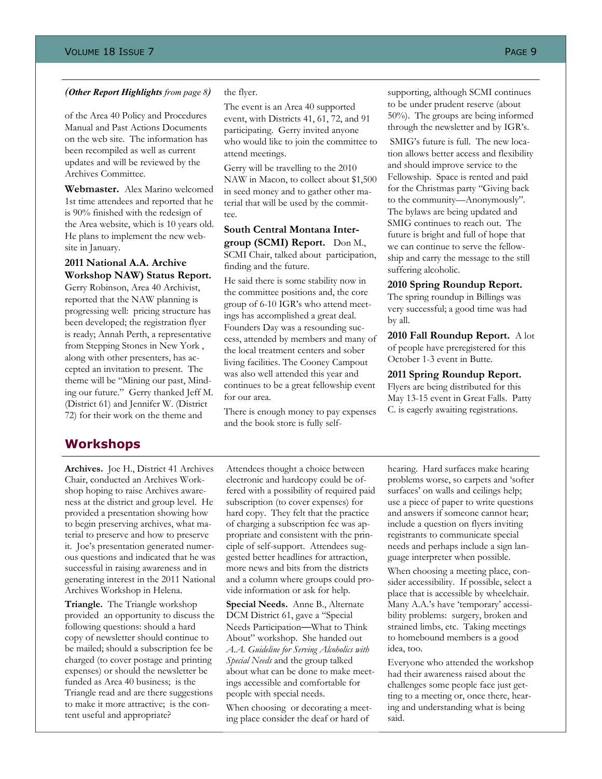#### *(Other Report Highlights from page 8)*

of the Area 40 Policy and Procedures Manual and Past Actions Documents on the web site. The information has been recompiled as well as current updates and will be reviewed by the Archives Committee.

**Webmaster.** Alex Marino welcomed 1st time attendees and reported that he is 90% finished with the redesign of the Area website, which is 10 years old. He plans to implement the new website in January.

#### **2011 National A.A. Archive Workshop NAW) Status Report.**

Gerry Robinson, Area 40 Archivist, reported that the NAW planning is progressing well: pricing structure has been developed; the registration flyer is ready; Annah Perth, a representative from Stepping Stones in New York , along with other presenters, has accepted an invitation to present. The theme will be "Mining our past, Minding our future." Gerry thanked Jeff M. (District 61) and Jennifer W. (District 72) for their work on the theme and

## **Workshops**

**Archives.** Joe H., District 41 Archives Chair, conducted an Archives Workshop hoping to raise Archives awareness at the district and group level. He provided a presentation showing how to begin preserving archives, what material to preserve and how to preserve it. Joe's presentation generated numerous questions and indicated that he was successful in raising awareness and in generating interest in the 2011 National Archives Workshop in Helena.

**Triangle.** The Triangle workshop provided an opportunity to discuss the following questions: should a hard copy of newsletter should continue to be mailed; should a subscription fee be charged (to cover postage and printing expenses) or should the newsletter be funded as Area 40 business; is the Triangle read and are there suggestions to make it more attractive; is the content useful and appropriate?

#### the flyer.

The event is an Area 40 supported event, with Districts 41, 61, 72, and 91 participating. Gerry invited anyone who would like to join the committee to attend meetings.

Gerry will be travelling to the 2010 NAW in Macon, to collect about \$1,500 in seed money and to gather other material that will be used by the committee.

### **South Central Montana Intergroup (SCMI) Report.** Don M.,

SCMI Chair, talked about participation, finding and the future.

He said there is some stability now in the committee positions and, the core group of 6-10 IGR's who attend meetings has accomplished a great deal. Founders Day was a resounding success, attended by members and many of the local treatment centers and sober living facilities. The Cooney Campout was also well attended this year and continues to be a great fellowship event for our area.

There is enough money to pay expenses and the book store is fully selfsupporting, although SCMI continues to be under prudent reserve (about 50%). The groups are being informed through the newsletter and by IGR's.

 SMIG's future is full. The new location allows better access and flexibility and should improve service to the Fellowship. Space is rented and paid for the Christmas party "Giving back to the community—Anonymously". The bylaws are being updated and SMIG continues to reach out. The future is bright and full of hope that we can continue to serve the fellowship and carry the message to the still suffering alcoholic.

#### **2010 Spring Roundup Report.**

The spring roundup in Billings was very successful; a good time was had by all.

**2010 Fall Roundup Report.** A lot of people have preregistered for this October 1-3 event in Butte.

**2011 Spring Roundup Report.** 

Flyers are being distributed for this May 13-15 event in Great Falls. Patty C. is eagerly awaiting registrations.

Attendees thought a choice between electronic and hardcopy could be offered with a possibility of required paid subscription (to cover expenses) for hard copy. They felt that the practice of charging a subscription fee was appropriate and consistent with the principle of self-support. Attendees suggested better headlines for attraction, more news and bits from the districts and a column where groups could provide information or ask for help.

**Special Needs.** Anne B., Alternate DCM District 61, gave a "Special Needs Participation—What to Think About" workshop. She handed out *A.A. Guideline for Serving Alcoholics with Special Needs* and the group talked about what can be done to make meetings accessible and comfortable for people with special needs.

When choosing or decorating a meeting place consider the deaf or hard of

hearing. Hard surfaces make hearing problems worse, so carpets and 'softer surfaces' on walls and ceilings help; use a piece of paper to write questions and answers if someone cannot hear; include a question on flyers inviting registrants to communicate special needs and perhaps include a sign language interpreter when possible.

When choosing a meeting place, consider accessibility. If possible, select a place that is accessible by wheelchair. Many A.A.'s have 'temporary' accessibility problems: surgery, broken and strained limbs, etc. Taking meetings to homebound members is a good idea, too.

Everyone who attended the workshop had their awareness raised about the challenges some people face just getting to a meeting or, once there, hearing and understanding what is being said.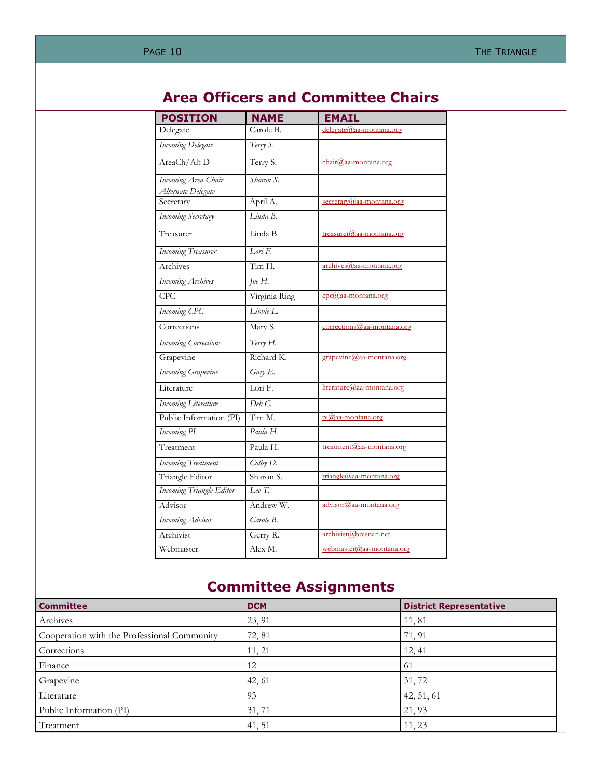## **Area Officers and Committee Chairs**

| <b>POSITION</b>                           | <b>NAME</b>          | <b>EMAIL</b>                |
|-------------------------------------------|----------------------|-----------------------------|
| Delegate                                  | Carole B.            | delegate@aa-montana.org     |
| <b>Incoming Delegate</b>                  | Terry S.             |                             |
| AreaCh/Alt D                              | Terry S.             | chair@aa-montana.org        |
| Incoming Area Chair<br>Alternate Delegate | Sharon S.            |                             |
| Secretary                                 | April A.             | secretary@aa-montana.org    |
| <b>Incoming Secretary</b>                 | $I$ inda $B$ .       |                             |
| Treasurer                                 | Linda B.             | $t$ reasurer@aa-montana.org |
| <b>Incoming Treasurer</b>                 | $I$ ori $F$ .        |                             |
| Archives                                  | Tim H.               | $\archives$ @aa-montana.org |
| <b>Incoming Archives</b>                  | Joe $H$ .            |                             |
| CPC                                       | Virginia Ring        | cpc@aa-montana.org          |
| Incoming CPC                              | $I$ ibbie $I$ .      |                             |
| Corrections                               | Mary S.              | corrections@aa-montana.org  |
| <b>Incoming Corrections</b>               | Terry H.             |                             |
| Grapevine                                 | Richard K.           | grapevine@aa-montana.org    |
| <b>Incoming Grapevine</b>                 | $\overline{Gary}$ E. |                             |
| Literature                                | Lori F.              | literature@aa-montana.org   |
| <b>Incoming Literature</b>                | Deb C                |                             |
| Public Information (PI)                   | Tim M.               | $pi@aa$ -montana.org        |
| <b>Incoming PI</b>                        | Paula H.             |                             |
| Treatment                                 | Paula H.             | treatment@aa-montana.org    |
| <b>Incoming Treatment</b>                 | Colby D.             |                             |
| Triangle Editor                           | Sharon S.            | triangle@aa-montana.org     |
| <b>Incoming Triangle Editor</b>           | Lee $T$ .            |                             |
| Advisor                                   | Andrew W.            | advisor@aa-montana.org      |
| Incoming Advisor                          | Carole B.            |                             |
| Archivist                                 | Gerry R.             | archivist@bresnan.net       |
| Webmaster                                 | Alex M.              | webmaster@aa-montana.org    |

## **Committee Assignments**

| <b>Committee</b>                            | <b>DCM</b> | <b>District Representative</b> |
|---------------------------------------------|------------|--------------------------------|
| Archives                                    | 23, 91     | 11,81                          |
| Cooperation with the Professional Community | 72, 81     | 71, 91                         |
| Corrections                                 | 11, 21     | 12, 41                         |
| Finance                                     | 12         | -61                            |
| Grapevine                                   | 42, 61     | 31, 72                         |
| Literature                                  | 93         | 42, 51, 61                     |
| Public Information (PI)                     | 31, 71     | 21, 93                         |
| Treatment                                   | 41, 51     | 11, 23                         |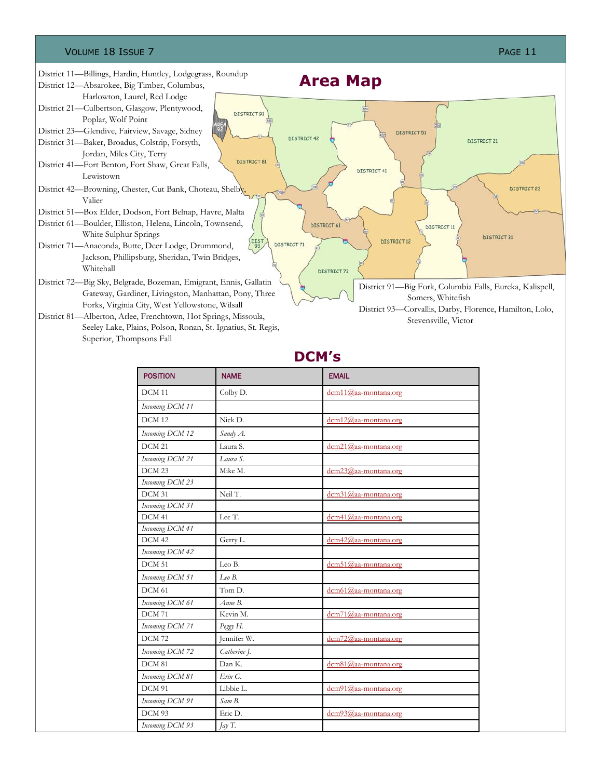#### VOLUME 18 ISSUE 7 PAGE 11

Superior, Thompsons Fall

#### District 11—Billings, Hardin, Huntley, Lodgegrass, Roundup **Area Map**  District 12—Absarokee, Big Timber, Columbus, Harlowton, Laurel, Red Lodge District 21—Culbertson, Glasgow, Plentywood, **DISTRICT 91** Poplar, Wolf Point District 23—Glendive, Fairview, Savage, Sidney **DISTRICT 51 DISTRICT 42** DISTRICT 21 District 31—Baker, Broadus, Colstrip, Forsyth, Jordan, Miles City, Terry **DISTRICT 81** District 41—Fort Benton, Fort Shaw, Great Falls, **DISTRICT 41** Lewistown District 42—Browning, Chester, Cut Bank, Choteau, Shelby, **DISTRICT 23** Valier District 51—Box Elder, Dodson, Fort Belnap, Havre, Malta District 61—Boulder, Elliston, Helena, Lincoln, Townsend, **DISTRICT 61 DISTRICT 11** White Sulphur Springs DISTRICT 31 **DISTRICT 12** DIST<sub>93</sub> **DISTRICT 71** District 71—Anaconda, Butte, Deer Lodge, Drummond, Jackson, Phillipsburg, Sheridan, Twin Bridges, Whitehall **DISTRICT 72** District 72—Big Sky, Belgrade, Bozeman, Emigrant, Ennis, Gallatin District 91—Big Fork, Columbia Falls, Eureka, Kalispell, Gateway, Gardiner, Livingston, Manhattan, Pony, Three Somers, Whitefish Forks, Virginia City, West Yellowstone, Wilsall District 93—Corvallis, Darby, Florence, Hamilton, Lolo, District 81—Alberton, Arlee, Frenchtown, Hot Springs, Missoula, Stevensville, Victor Seeley Lake, Plains, Polson, Ronan, St. Ignatius, St. Regis,

**DCM's** 

| <b>POSITION</b>   | <b>NAME</b>  | <b>EMAIL</b>            |
|-------------------|--------------|-------------------------|
| DCM <sub>11</sub> | Colby D.     | dcm11@aa-montana.org    |
| Incoming DCM 11   |              |                         |
| DCM <sub>12</sub> | Nick D.      | dcm12@aa-montana.org    |
| Incoming DCM 12   | Sandy A.     |                         |
| <b>DCM 21</b>     | Laura S.     | $dcm21$ @aa-montana.org |
| Incoming DCM 21   | Laura S.     |                         |
| DCM <sub>23</sub> | Mike M.      | dcm23@aa-montana.org    |
| Incoming DCM 23   |              |                         |
| DCM 31            | Neil T.      | dcm31@aa-montana.org    |
| Incoming DCM 31   |              |                         |
| DCM 41            | Lee T.       | dcm41@aa-montana.org    |
| Incoming DCM 41   |              |                         |
| DCM 42            | Gerry L.     | dcm42@aa-montana.org    |
| Incoming DCM 42   |              |                         |
| DCM 51            | Leo B.       | dcm51@aa-montana.org    |
| Incoming DCM 51   | LeoB.        |                         |
| DCM 61            | Tom D.       | $dcm61$ @aa-montana.org |
| Incoming DCM 61   | Anne B.      |                         |
| <b>DCM 71</b>     | Kevin M.     | $dcm71$ @aa-montana.org |
| Incoming DCM 71   | Peggy H.     |                         |
| <b>DCM72</b>      | Jennifer W.  | $dcm72$ @aa-montana.org |
| Incoming DCM 72   | Catherine J. |                         |
| DCM <sub>81</sub> | Dan K.       | $dcm81$ @aa-montana.org |
| Incoming DCM 81   | Erin G.      |                         |
| DCM 91            | Libbie L.    | $dcm91$ @aa-montana.org |
| Incoming DCM 91   | Sam B.       |                         |
| DCM 93            | Eric D.      | dcm93@aa-montana.org    |
| Incoming DCM 93   | $\int$ ay T. |                         |